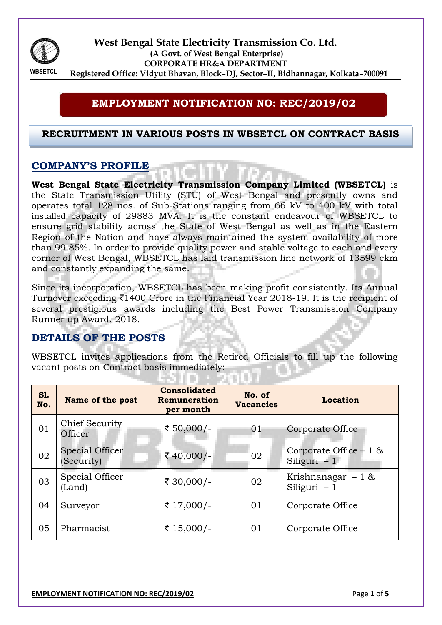

**West Bengal State Electricity Transmission Co. Ltd. (A Govt. of West Bengal Enterprise) CORPORATE HR&A DEPARTMENT Registered Office: Vidyut Bhavan, Block–DJ, Sector–II, Bidhannagar, Kolkata–700091**

#### **EMPLOYMENT NOTIFICATION NO: REC/2019/02**

#### **RECRUITMENT IN VARIOUS POSTS IN WBSETCL ON CONTRACT BASIS**

#### **COMPANY'S PROFILE**

**West Bengal State Electricity Transmission Company Limited (WBSETCL)** is the State Transmission Utility (STU) of West Bengal and presently owns and operates total 128 nos. of Sub-Stations ranging from 66 kV to 400 kV with total installed capacity of 29883 MVA. It is the constant endeavour of WBSETCL to ensure grid stability across the State of West Bengal as well as in the Eastern Region of the Nation and have always maintained the system availability of more than 99.85%. In order to provide quality power and stable voltage to each and every corner of West Bengal, WBSETCL has laid transmission line network of 13599 ckm and constantly expanding the same.

Since its incorporation, WBSETCL has been making profit consistently. Its Annual Turnover exceeding  $\bar{\mathcal{F}}$ 1400 Crore in the Financial Year 2018-19. It is the recipient of several prestigious awards including the Best Power Transmission Company Runner up Award, 2018.

# **DETAILS OF THE POSTS**

WBSETCL invites applications from the Retired Officials to fill up the following vacant posts on Contract basis immediately:

-301111112

| <b>S1.</b><br>No. | Name of the post                     | <b>Consolidated</b><br>Remuneration<br>per month | No. of<br><b>Vacancies</b> | Location                                 |  |
|-------------------|--------------------------------------|--------------------------------------------------|----------------------------|------------------------------------------|--|
| 01                | Chief Security<br>Officer            | ₹ 50,000/-                                       | 01                         | Corporate Office                         |  |
| 02                | <b>Special Officer</b><br>(Security) | ₹40,000/-                                        | 02                         | Corporate Office $-1$ &<br>Siliguri $-1$ |  |
| 03                | Special Officer<br>(Land)            | ₹ 30,000/-                                       | 02                         | Krishnanagar $-1$ &<br>Siliguri $-1$     |  |
| 04                | Surveyor                             | ₹ 17,000/-                                       | 01                         | Corporate Office                         |  |
| 05                | Pharmacist                           | ₹ 15,000/-                                       | 01                         | Corporate Office                         |  |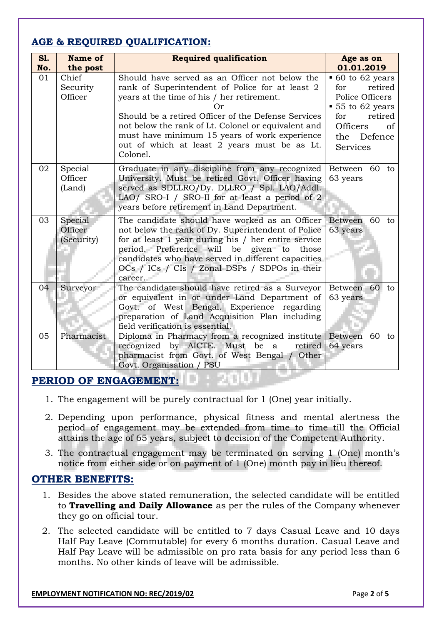# **AGE & REQUIRED QUALIFICATION:**

| S1.<br>No. | Name of<br>the post              | <b>Required qualification</b>                                                                                                                                                                                                                                                                                                                                              | Age as on<br>01.01.2019                                                                                                                                            |
|------------|----------------------------------|----------------------------------------------------------------------------------------------------------------------------------------------------------------------------------------------------------------------------------------------------------------------------------------------------------------------------------------------------------------------------|--------------------------------------------------------------------------------------------------------------------------------------------------------------------|
| 01         | Chief<br>Security<br>Officer     | Should have served as an Officer not below the<br>rank of Superintendent of Police for at least 2<br>years at the time of his / her retirement.<br>Should be a retired Officer of the Defense Services<br>not below the rank of Lt. Colonel or equivalent and<br>must have minimum 15 years of work experience<br>out of which at least 2 years must be as Lt.<br>Colonel. | $\bullet$ 60 to 62 years<br>retired<br>for<br>Police Officers<br>$\bullet$ 55 to 62 years<br>retired<br>for<br>Officers<br>of<br>Defence<br>the<br><b>Services</b> |
| 02         | Special<br>Officer<br>(Land)     | Graduate in any discipline from any recognized<br>University. Must be retired Govt. Officer having<br>served as SDLLRO/Dy. DLLRO / Spl. LAO/Addl.<br>LAO/ SRO-I / SRO-II for at least a period of 2<br>years before retirement in Land Department.                                                                                                                         | Between 60 to<br>63 years                                                                                                                                          |
| 03         | Special<br>Officer<br>(Security) | The candidate should have worked as an Officer<br>not below the rank of Dy. Superintendent of Police<br>for at least 1 year during his / her entire service<br>period. Preference will be given to<br>those<br>candidates who have served in different capacities<br>OCs / ICs / CIs / Zonal DSPs / SDPOs in their<br>career.                                              | Between 60<br>to<br>63 years                                                                                                                                       |
| 04         | Surveyor                         | The candidate should have retired as a Surveyor<br>or equivalent in or under Land Department of<br>Govt. of West Bengal. Experience regarding<br>preparation of Land Acquisition Plan including<br>field verification is essential.                                                                                                                                        | Between<br>60<br>to<br>63 years                                                                                                                                    |
| 05         | Pharmacist                       | Diploma in Pharmacy from a recognized institute   Between 60<br>recognized by AICTE. Must be a<br>pharmacist from Govt. of West Bengal / Other<br>Govt. Organisation / PSU                                                                                                                                                                                                 | to<br>retired 64 years                                                                                                                                             |

# **PERIOD OF ENGAGEMENT:**

- 1. The engagement will be purely contractual for 1 (One) year initially.
- 2. Depending upon performance, physical fitness and mental alertness the period of engagement may be extended from time to time till the Official attains the age of 65 years, subject to decision of the Competent Authority.
- 3. The contractual engagement may be terminated on serving 1 (One) month's notice from either side or on payment of 1 (One) month pay in lieu thereof.

# **OTHER BENEFITS:**

- 1. Besides the above stated remuneration, the selected candidate will be entitled to **Travelling and Daily Allowance** as per the rules of the Company whenever they go on official tour.
- 2. The selected candidate will be entitled to 7 days Casual Leave and 10 days Half Pay Leave (Commutable) for every 6 months duration. Casual Leave and Half Pay Leave will be admissible on pro rata basis for any period less than 6 months. No other kinds of leave will be admissible.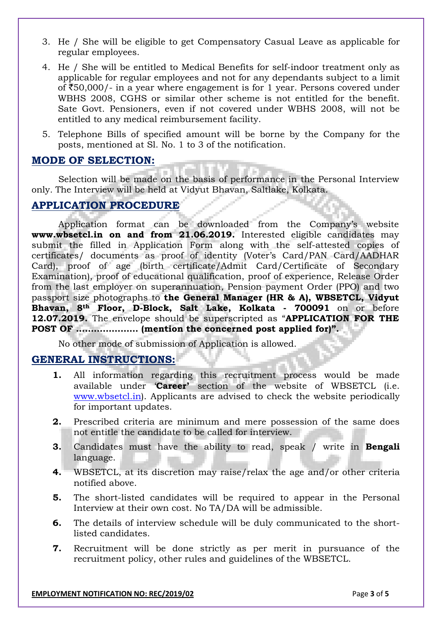- 3. He / She will be eligible to get Compensatory Casual Leave as applicable for regular employees.
- 4. He / She will be entitled to Medical Benefits for self-indoor treatment only as applicable for regular employees and not for any dependants subject to a limit of  $\text{\textsterling}50,000$ /- in a year where engagement is for 1 year. Persons covered under WBHS 2008, CGHS or similar other scheme is not entitled for the benefit. Sate Govt. Pensioners, even if not covered under WBHS 2008, will not be entitled to any medical reimbursement facility.
- 5. Telephone Bills of specified amount will be borne by the Company for the posts, mentioned at Sl. No. 1 to 3 of the notification.

#### **MODE OF SELECTION:**

Selection will be made on the basis of performance in the Personal Interview only*.* The Interview will be held at Vidyut Bhavan, Saltlake, Kolkata.

# **APPLICATION PROCEDURE**

Application format can be downloaded from the Company's website **www.wbsetcl.in on and from 21.06.2019.** Interested eligible candidates may submit the filled in Application Form along with the self-attested copies of certificates/ documents as proof of identity (Voter's Card/PAN Card/AADHAR Card), proof of age (birth certificate/Admit Card/Certificate of Secondary Examination), proof of educational qualification, proof of experience, Release Order from the last employer on superannuation, Pension payment Order (PPO) and two passport size photographs to **the General Manager (HR & A), WBSETCL, Vidyut Bhavan, 8th Floor, D-Block, Salt Lake, Kolkata - 700091** on or before **12.07.2019.** The envelope should be superscripted as "**APPLICATION FOR THE POST OF ………………… (mention the concerned post applied for)".**

No other mode of submission of Application is allowed.

#### **GENERAL INSTRUCTIONS:**

- **1.** All information regarding this recruitment process would be made available under '**Career'** section of the website of WBSETCL (i.e. [www.wbsetcl.in\)](http://www.wbsetcl.in/). Applicants are advised to check the website periodically for important updates.
- **2.** Prescribed criteria are minimum and mere possession of the same does not entitle the candidate to be called for interview.
- **3.** Candidates must have the ability to read, speak / write in **Bengali** language.
- **4.** WBSETCL, at its discretion may raise/relax the age and/or other criteria notified above.
- **5.** The short-listed candidates will be required to appear in the Personal Interview at their own cost. No TA/DA will be admissible.
- **6.** The details of interview schedule will be duly communicated to the shortlisted candidates.
- **7.** Recruitment will be done strictly as per merit in pursuance of the recruitment policy, other rules and guidelines of the WBSETCL.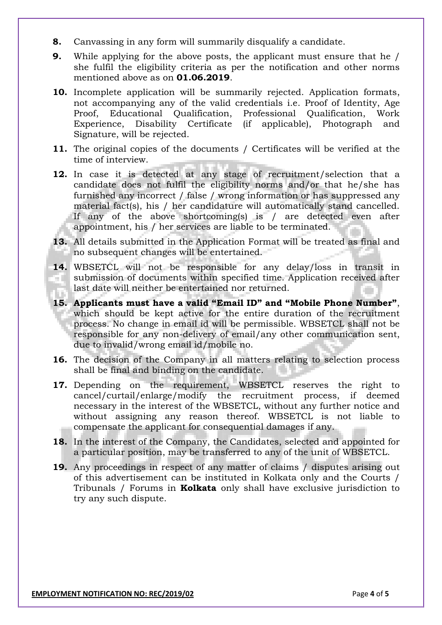- **8.** Canvassing in any form will summarily disqualify a candidate.
- **9.** While applying for the above posts, the applicant must ensure that he / she fulfil the eligibility criteria as per the notification and other norms mentioned above as on **01.06.2019**.
- **10.** Incomplete application will be summarily rejected. Application formats, not accompanying any of the valid credentials i.e. Proof of Identity, Age Proof, Educational Qualification, Professional Qualification, Work Experience, Disability Certificate (if applicable), Photograph and Signature, will be rejected.
- **11.** The original copies of the documents / Certificates will be verified at the time of interview.
- **12.** In case it is detected at any stage of recruitment/selection that a candidate does not fulfil the eligibility norms and/or that he/she has furnished any incorrect / false / wrong information or has suppressed any material fact(s), his / her candidature will automatically stand cancelled. If any of the above shortcoming(s) is / are detected even after appointment, his / her services are liable to be terminated.
- **13.** All details submitted in the Application Format will be treated as final and no subsequent changes will be entertained.
- **14.** WBSETCL will not be responsible for any delay/loss in transit in submission of documents within specified time. Application received after m. last date will neither be entertained nor returned.
- **15. Applicants must have a valid "Email ID" and "Mobile Phone Number"**, which should be kept active for the entire duration of the recruitment process. No change in email id will be permissible. WBSETCL shall not be responsible for any non-delivery of email/any other communication sent, due to invalid/wrong email id/mobile no.
- **16.** The decision of the Company in all matters relating to selection process shall be final and binding on the candidate.
- **17.** Depending on the requirement, WBSETCL reserves the right to cancel/curtail/enlarge/modify the recruitment process, if deemed necessary in the interest of the WBSETCL, without any further notice and without assigning any reason thereof. WBSETCL is not liable to compensate the applicant for consequential damages if any.
- **18.** In the interest of the Company, the Candidates, selected and appointed for a particular position, may be transferred to any of the unit of WBSETCL.
- **19.** Any proceedings in respect of any matter of claims / disputes arising out of this advertisement can be instituted in Kolkata only and the Courts / Tribunals / Forums in **Kolkata** only shall have exclusive jurisdiction to try any such dispute.